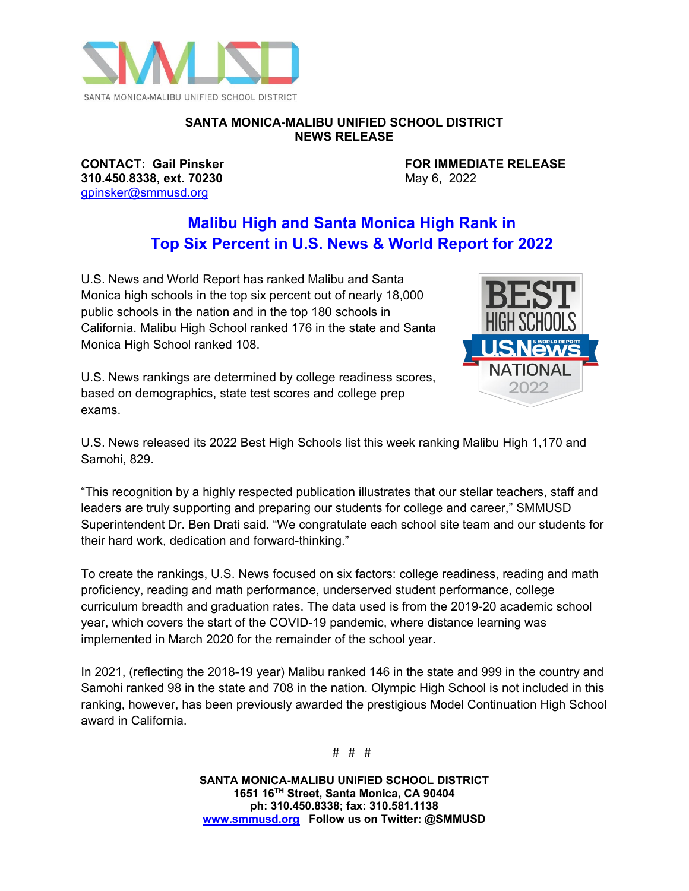

## **SANTA MONICA-MALIBU UNIFIED SCHOOL DISTRICT NEWS RELEASE**

**310.450.8338, ext. 70230** [gpinsker@smmusd.org](mailto:gpinsker@smmusd.org)

**CONTACT: Gail Pinsker FOR IMMEDIATE RELEASE**<br> **310.450.8338, ext. 70230 May 6, 2022** 

## **Malibu High and Santa Monica High Rank in Top Six Percent in U.S. News & World Report for 2022**

U.S. News and World Report has ranked Malibu and Santa Monica high schools in the top six percent out of nearly 18,000 public schools in the nation and in the top 180 schools in California. Malibu High School ranked 176 in the state and Santa Monica High School ranked 108.

U.S. News rankings are determined by college readiness scores, based on demographics, state test scores and college prep exams.



U.S. News released its 2022 Best High Schools list this week ranking Malibu High 1,170 and Samohi, 829.

"This recognition by a highly respected publication illustrates that our stellar teachers, staff and leaders are truly supporting and preparing our students for college and career," SMMUSD Superintendent Dr. Ben Drati said. "We congratulate each school site team and our students for their hard work, dedication and forward-thinking."

To create the rankings, U.S. News focused on six factors: college readiness, reading and math proficiency, reading and math performance, underserved student performance, college curriculum breadth and graduation rates. The data used is from the 2019-20 academic school year, which covers the start of the COVID-19 pandemic, where distance learning was implemented in March 2020 for the remainder of the school year.

In 2021, (reflecting the 2018-19 year) Malibu ranked 146 in the state and 999 in the country and Samohi ranked 98 in the state and 708 in the nation. Olympic High School is not included in this ranking, however, has been previously awarded the prestigious Model Continuation High School award in California.

# # #

**SANTA MONICA-MALIBU UNIFIED SCHOOL DISTRICT 1651 16TH Street, Santa Monica, CA 90404 ph: 310.450.8338; fax: 310.581.1138 [www.smmusd.org](http://www.smmusd.org/) Follow us on Twitter: @SMMUSD**